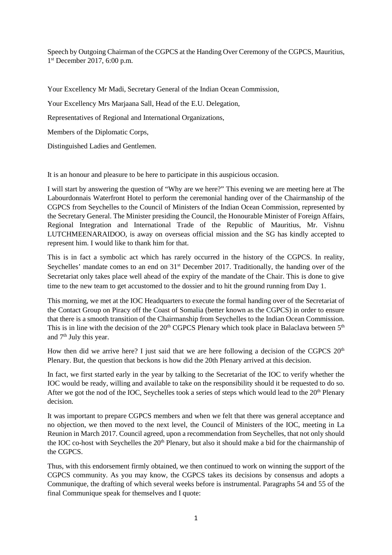Speech by Outgoing Chairman of the CGPCS at the Handing Over Ceremony of the CGPCS, Mauritius, 1 st December 2017, 6:00 p.m.

Your Excellency Mr Madi, Secretary General of the Indian Ocean Commission,

Your Excellency Mrs Marjaana Sall, Head of the E.U. Delegation,

Representatives of Regional and International Organizations,

Members of the Diplomatic Corps,

Distinguished Ladies and Gentlemen.

It is an honour and pleasure to be here to participate in this auspicious occasion.

I will start by answering the question of "Why are we here?" This evening we are meeting here at The Labourdonnais Waterfront Hotel to perform the ceremonial handing over of the Chairmanship of the CGPCS from Seychelles to the Council of Ministers of the Indian Ocean Commission, represented by the Secretary General. The Minister presiding the Council, the Honourable Minister of Foreign Affairs, Regional Integration and International Trade of the Republic of Mauritius, Mr. Vishnu LUTCHMEENARAIDOO, is away on overseas official mission and the SG has kindly accepted to represent him. I would like to thank him for that.

This is in fact a symbolic act which has rarely occurred in the history of the CGPCS. In reality, Seychelles' mandate comes to an end on 31<sup>st</sup> December 2017. Traditionally, the handing over of the Secretariat only takes place well ahead of the expiry of the mandate of the Chair. This is done to give time to the new team to get accustomed to the dossier and to hit the ground running from Day 1.

This morning, we met at the IOC Headquarters to execute the formal handing over of the Secretariat of the Contact Group on Piracy off the Coast of Somalia (better known as the CGPCS) in order to ensure that there is a smooth transition of the Chairmanship from Seychelles to the Indian Ocean Commission. This is in line with the decision of the  $20<sup>th</sup>$  CGPCS Plenary which took place in Balaclava between  $5<sup>th</sup>$ and 7<sup>th</sup> July this year.

How then did we arrive here? I just said that we are here following a decision of the CGPCS  $20<sup>th</sup>$ Plenary. But, the question that beckons is how did the 20th Plenary arrived at this decision.

In fact, we first started early in the year by talking to the Secretariat of the IOC to verify whether the IOC would be ready, willing and available to take on the responsibility should it be requested to do so. After we got the nod of the IOC, Seychelles took a series of steps which would lead to the 20<sup>th</sup> Plenary decision.

It was important to prepare CGPCS members and when we felt that there was general acceptance and no objection, we then moved to the next level, the Council of Ministers of the IOC, meeting in La Reunion in March 2017. Council agreed, upon a recommendation from Seychelles, that not only should the IOC co-host with Seychelles the 20<sup>th</sup> Plenary, but also it should make a bid for the chairmanship of the CGPCS.

Thus, with this endorsement firmly obtained, we then continued to work on winning the support of the CGPCS community. As you may know, the CGPCS takes its decisions by consensus and adopts a Communique, the drafting of which several weeks before is instrumental. Paragraphs 54 and 55 of the final Communique speak for themselves and I quote: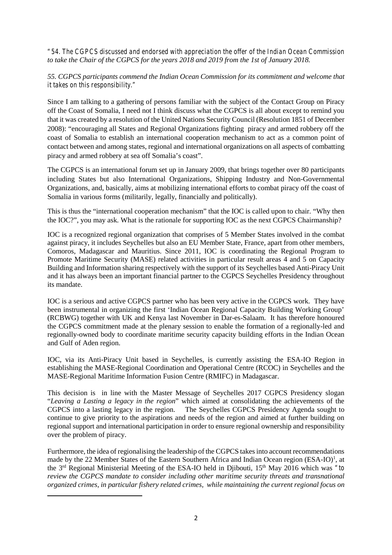*"54. The CGPCS discussed and endorsed with appreciation the offer of the Indian Ocean Commission to take the Chair of the CGPCS for the years 2018 and 2019 from the 1st of January 2018.*

*55. CGPCS participants commend the Indian Ocean Commission for its commitment and welcome that it takes on this responsibility."*

Since I am talking to a gathering of persons familiar with the subject of the Contact Group on Piracy off the Coast of Somalia, I need not I think discuss what the CGPCS is all about except to remind you that it was created by a resolution of the United Nations Security Council (Resolution 1851 of December 2008): "encouraging all States and Regional Organizations fighting piracy and armed robbery off the coast of Somalia to establish an international cooperation mechanism to act as a common point of contact between and among states, regional and international organizations on all aspects of combatting piracy and armed robbery at sea off Somalia's coast".

The CGPCS is an international forum set up in January 2009, that brings together over 80 participants including States but also International Organizations, Shipping Industry and Non-Governmental Organizations, and, basically, aims at mobilizing international efforts to combat piracy off the coast of Somalia in various forms (militarily, legally, financially and politically).

This is thus the "international cooperation mechanism" that the IOC is called upon to chair. "Why then the IOC?", you may ask. What is the rationale for supporting IOC as the next CGPCS Chairmanship?

IOC is a recognized regional organization that comprises of 5 Member States involved in the combat against piracy, it includes Seychelles but also an EU Member State, France, apart from other members, Comoros, Madagascar and Mauritius. Since 2011, IOC is coordinating the Regional Program to Promote Maritime Security (MASE) related activities in particular result areas 4 and 5 on Capacity Building and Information sharing respectively with the support of its Seychelles based Anti-Piracy Unit and it has always been an important financial partner to the CGPCS Seychelles Presidency throughout its mandate.

IOC is a serious and active CGPCS partner who has been very active in the CGPCS work. They have been instrumental in organizing the first 'Indian Ocean Regional Capacity Building Working Group' (RCBWG) together with UK and Kenya last November in Dar-es-Salaam. It has therefore honoured the CGPCS commitment made at the plenary session to enable the formation of a regionally-led and regionally-owned body to coordinate maritime security capacity building efforts in the Indian Ocean and Gulf of Aden region.

IOC, via its Anti-Piracy Unit based in Seychelles, is currently assisting the ESA-IO Region in establishing the MASE-Regional Coordination and Operational Centre (RCOC) in Seychelles and the MASE-Regional Maritime Information Fusion Centre (RMIFC) in Madagascar.

This decision is in line with the Master Message of Seychelles 2017 CGPCS Presidency slogan "*Leaving a Lasting a legacy in the region*" which aimed at consolidating the achievements of the CGPCS into a lasting legacy in the region. The Seychelles CGPCS Presidency Agenda sought to continue to give priority to the aspirations and needs of the region and aimed at further building on regional support and international participation in order to ensure regional ownership and responsibility over the problem of piracy.

Furthermore, the idea of regionalising the leadership of the CGPCS takes into account recommendations made by the 22 Member States of the Eastern Southern Africa and Indian Ocean region (ESA-IO)<sup>1</sup>, at the 3rd Regional Ministerial Meeting of the ESA-IO held in Djibouti, 15th May 2016 which was *"to review the CGPCS mandate to consider including other maritime security threats and transnational organized crimes, in particular fishery related crimes, while maintaining the current regional focus on*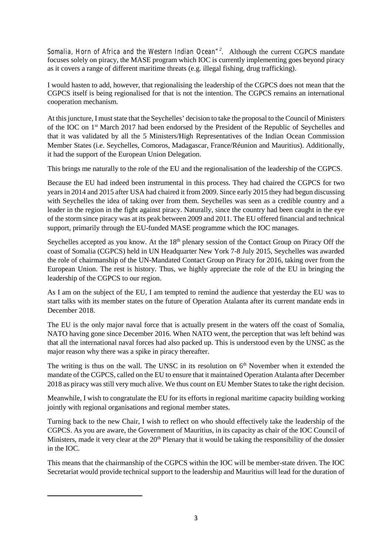*Somalia, Horn of Africa and the Western Indian Ocean"<sup>2</sup> .* Although the current CGPCS mandate focuses solely on piracy, the MASE program which IOC is currently implementing goes beyond piracy as it covers a range of different maritime threats (e.g. illegal fishing, drug trafficking).

I would hasten to add, however, that regionalising the leadership of the CGPCS does not mean that the CGPCS itself is being regionalised for that is not the intention. The CGPCS remains an international cooperation mechanism.

At this juncture, I must state that the Seychelles' decision to take the proposal to the Council of Ministers of the IOC on 1st March 2017 had been endorsed by the President of the Republic of Seychelles and that it was validated by all the 5 Ministers/High Representatives of the Indian Ocean Commission Member States (i.e. Seychelles, Comoros, Madagascar, France/Réunion and Mauritius). Additionally, it had the support of the European Union Delegation.

This brings me naturally to the role of the EU and the regionalisation of the leadership of the CGPCS.

Because the EU had indeed been instrumental in this process. They had chaired the CGPCS for two years in 2014 and 2015 after USA had chaired it from 2009. Since early 2015 they had begun discussing with Seychelles the idea of taking over from them. Seychelles was seen as a credible country and a leader in the region in the fight against piracy. Naturally, since the country had been caught in the eye of the storm since piracy was at its peak between 2009 and 2011. The EU offered financial and technical support, primarily through the EU-funded MASE programme which the IOC manages.

Seychelles accepted as you know. At the  $18<sup>th</sup>$  plenary session of the Contact Group on Piracy Off the coast of Somalia (CGPCS) held in UN Headquarter New York 7-8 July 2015, Seychelles was awarded the role of chairmanship of the UN-Mandated Contact Group on Piracy for 2016, taking over from the European Union. The rest is history. Thus, we highly appreciate the role of the EU in bringing the leadership of the CGPCS to our region.

As I am on the subject of the EU, I am tempted to remind the audience that yesterday the EU was to start talks with its member states on the future of Operation Atalanta after its current mandate ends in December 2018.

The EU is the only major naval force that is actually present in the waters off the coast of Somalia, NATO having gone since December 2016. When NATO went, the perception that was left behind was that all the international naval forces had also packed up. This is understood even by the UNSC as the major reason why there was a spike in piracy thereafter.

The writing is thus on the wall. The UNSC in its resolution on  $6<sup>th</sup>$  November when it extended the mandate of the CGPCS, called on the EU to ensure that it maintained Operation Atalanta after December 2018 as piracy was still very much alive. We thus count on EU Member States to take the right decision.

Meanwhile, I wish to congratulate the EU for its efforts in regional maritime capacity building working jointly with regional organisations and regional member states.

Turning back to the new Chair, I wish to reflect on who should effectively take the leadership of the CGPCS. As you are aware, the Government of Mauritius, in its capacity as chair of the IOC Council of Ministers, made it very clear at the 20<sup>th</sup> Plenary that it would be taking the responsibility of the dossier in the IOC.

This means that the chairmanship of the CGPCS within the IOC will be member-state driven. The IOC Secretariat would provide technical support to the leadership and Mauritius will lead for the duration of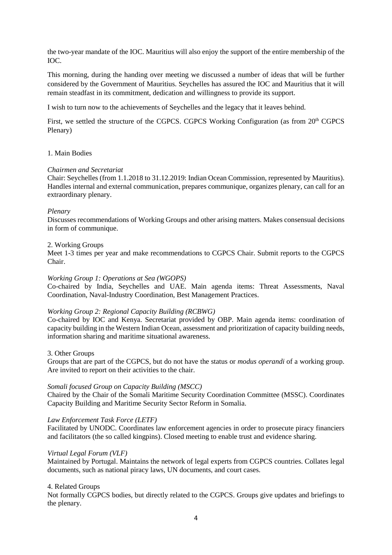the two-year mandate of the IOC. Mauritius will also enjoy the support of the entire membership of the IOC.

This morning, during the handing over meeting we discussed a number of ideas that will be further considered by the Government of Mauritius. Seychelles has assured the IOC and Mauritius that it will remain steadfast in its commitment, dedication and willingness to provide its support.

I wish to turn now to the achievements of Seychelles and the legacy that it leaves behind.

First, we settled the structure of the CGPCS. CGPCS Working Configuration (as from 20<sup>th</sup> CGPCS Plenary)

# 1. Main Bodies

# *Chairmen and Secretariat*

Chair: Seychelles (from 1.1.2018 to 31.12.2019: Indian Ocean Commission, represented by Mauritius). Handles internal and external communication, prepares communique, organizes plenary, can call for an extraordinary plenary.

#### *Plenary*

Discusses recommendations of Working Groups and other arising matters. Makes consensual decisions in form of communique.

# 2. Working Groups

Meet 1-3 times per year and make recommendations to CGPCS Chair. Submit reports to the CGPCS Chair.

### *Working Group 1: Operations at Sea (WGOPS)*

Co-chaired by India, Seychelles and UAE. Main agenda items: Threat Assessments, Naval Coordination, Naval-Industry Coordination, Best Management Practices.

#### *Working Group 2: Regional Capacity Building (RCBWG)*

Co-chaired by IOC and Kenya. Secretariat provided by OBP. Main agenda items: coordination of capacity building in the Western Indian Ocean, assessment and prioritization of capacity building needs, information sharing and maritime situational awareness.

#### 3. Other Groups

Groups that are part of the CGPCS, but do not have the status or *modus operandi* of a working group. Are invited to report on their activities to the chair.

#### *Somali focused Group on Capacity Building (MSCC)*

Chaired by the Chair of the Somali Maritime Security Coordination Committee (MSSC). Coordinates Capacity Building and Maritime Security Sector Reform in Somalia.

#### *Law Enforcement Task Force (LETF)*

Facilitated by UNODC. Coordinates law enforcement agencies in order to prosecute piracy financiers and facilitators (the so called kingpins). Closed meeting to enable trust and evidence sharing.

#### *Virtual Legal Forum (VLF)*

Maintained by Portugal. Maintains the network of legal experts from CGPCS countries. Collates legal documents, such as national piracy laws, UN documents, and court cases.

#### 4. Related Groups

Not formally CGPCS bodies, but directly related to the CGPCS. Groups give updates and briefings to the plenary.